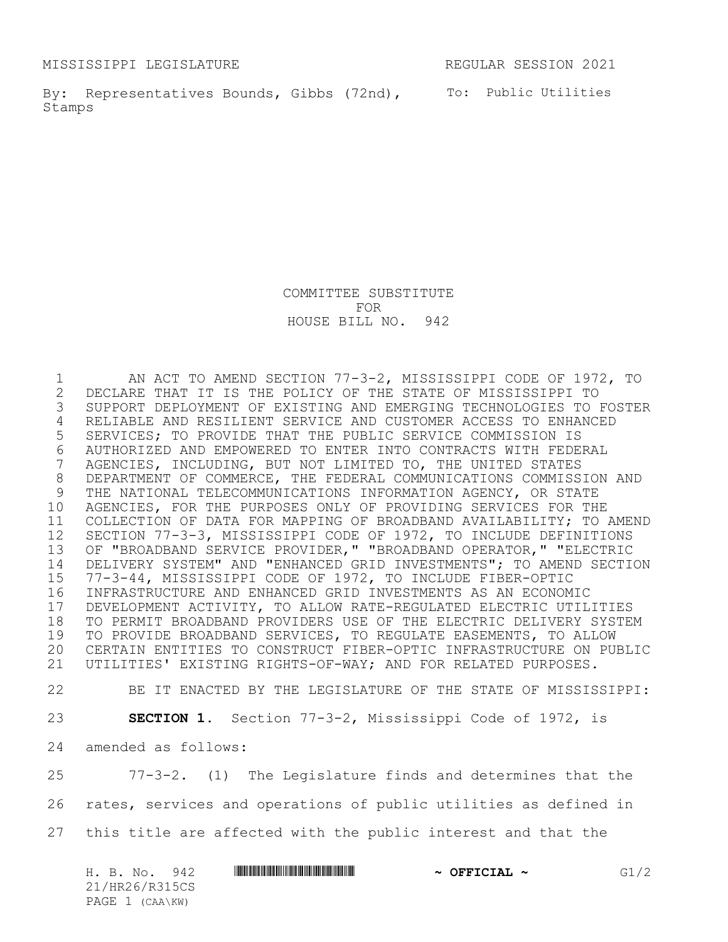MISSISSIPPI LEGISLATURE REGULAR SESSION 2021

By: Representatives Bounds, Gibbs (72nd), To: Public Utilities Stamps

COMMITTEE SUBSTITUTE FOR HOUSE BILL NO. 942

1 AN ACT TO AMEND SECTION 77-3-2, MISSISSIPPI CODE OF 1972, TO<br>2 DECLARE THAT IT IS THE POLICY OF THE STATE OF MISSISSIPPI TO 2 DECLARE THAT IT IS THE POLICY OF THE STATE OF MISSISSIPPI TO<br>3 SUPPORT DEPLOYMENT OF EXISTING AND EMERGING TECHNOLOGIES TO I SUPPORT DEPLOYMENT OF EXISTING AND EMERGING TECHNOLOGIES TO FOSTER RELIABLE AND RESILIENT SERVICE AND CUSTOMER ACCESS TO ENHANCED SERVICES; TO PROVIDE THAT THE PUBLIC SERVICE COMMISSION IS 6 AUTHORIZED AND EMPOWERED TO ENTER INTO CONTRACTS WITH FEDERAL<br>7 AGENCIES, INCLUDING, BUT NOT LIMITED TO, THE UNITED STATES AGENCIES, INCLUDING, BUT NOT LIMITED TO, THE UNITED STATES DEPARTMENT OF COMMERCE, THE FEDERAL COMMUNICATIONS COMMISSION AND THE NATIONAL TELECOMMUNICATIONS INFORMATION AGENCY, OR STATE AGENCIES, FOR THE PURPOSES ONLY OF PROVIDING SERVICES FOR THE COLLECTION OF DATA FOR MAPPING OF BROADBAND AVAILABILITY; TO AMEND SECTION 77-3-3, MISSISSIPPI CODE OF 1972, TO INCLUDE DEFINITIONS OF "BROADBAND SERVICE PROVIDER," "BROADBAND OPERATOR," "ELECTRIC DELIVERY SYSTEM" AND "ENHANCED GRID INVESTMENTS"; TO AMEND SECTION 77-3-44, MISSISSIPPI CODE OF 1972, TO INCLUDE FIBER-OPTIC INFRASTRUCTURE AND ENHANCED GRID INVESTMENTS AS AN ECONOMIC 17 DEVELOPMENT ACTIVITY, TO ALLOW RATE-REGULATED ELECTRIC UTILITIES<br>18 TO PERMIT BROADBAND PROVIDERS USE OF THE ELECTRIC DELIVERY SYSTE TO PERMIT BROADBAND PROVIDERS USE OF THE ELECTRIC DELIVERY SYSTEM TO PROVIDE BROADBAND SERVICES, TO REGULATE EASEMENTS, TO ALLOW CERTAIN ENTITIES TO CONSTRUCT FIBER-OPTIC INFRASTRUCTURE ON PUBLIC UTILITIES' EXISTING RIGHTS-OF-WAY; AND FOR RELATED PURPOSES.

BE IT ENACTED BY THE LEGISLATURE OF THE STATE OF MISSISSIPPI:

**SECTION 1.** Section 77-3-2, Mississippi Code of 1972, is

amended as follows:

 77-3-2. (1) The Legislature finds and determines that the rates, services and operations of public utilities as defined in this title are affected with the public interest and that the

| H. B. No.<br>942 | $\sim$ OFFICIAL $\sim$ | G1/2 |
|------------------|------------------------|------|
| 21/HR26/R315CS   |                        |      |
| PAGE 1 (CAA\KW)  |                        |      |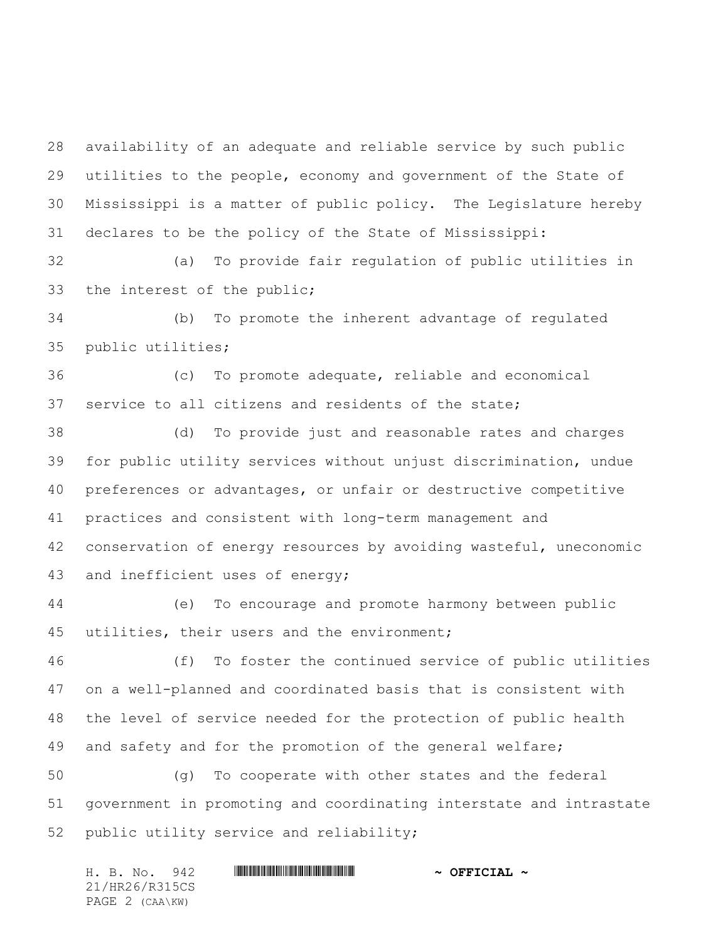availability of an adequate and reliable service by such public utilities to the people, economy and government of the State of Mississippi is a matter of public policy. The Legislature hereby declares to be the policy of the State of Mississippi:

 (a) To provide fair regulation of public utilities in the interest of the public;

 (b) To promote the inherent advantage of regulated public utilities;

 (c) To promote adequate, reliable and economical service to all citizens and residents of the state;

 (d) To provide just and reasonable rates and charges for public utility services without unjust discrimination, undue preferences or advantages, or unfair or destructive competitive practices and consistent with long-term management and conservation of energy resources by avoiding wasteful, uneconomic and inefficient uses of energy;

 (e) To encourage and promote harmony between public utilities, their users and the environment;

 (f) To foster the continued service of public utilities on a well-planned and coordinated basis that is consistent with the level of service needed for the protection of public health and safety and for the promotion of the general welfare;

 (g) To cooperate with other states and the federal government in promoting and coordinating interstate and intrastate public utility service and reliability;

H. B. No. 942 \*HR26/R315CS\* **~ OFFICIAL ~** 21/HR26/R315CS PAGE 2 (CAA\KW)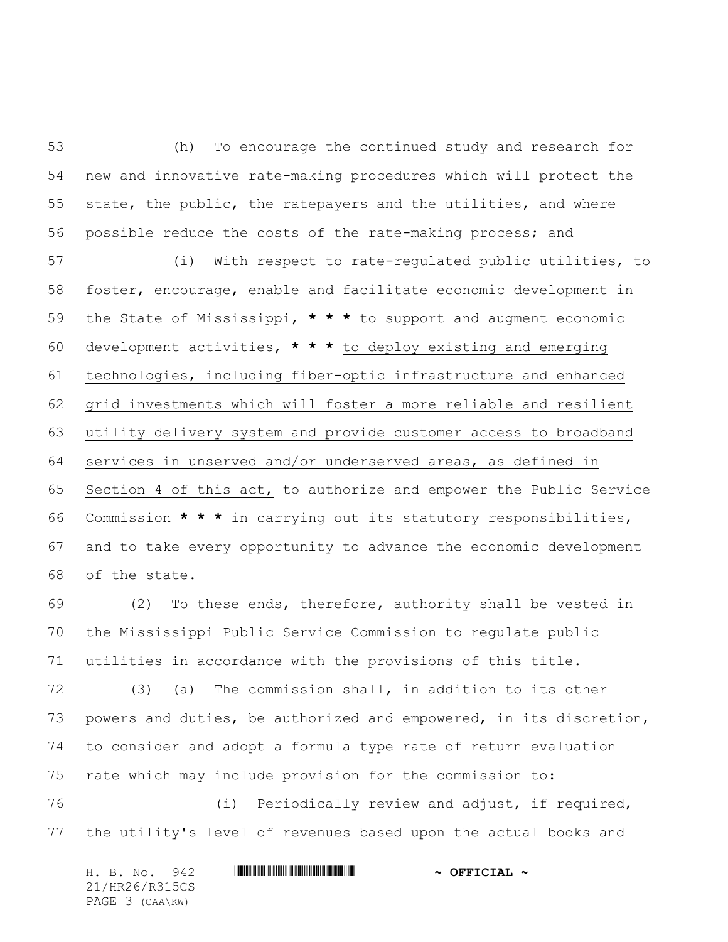(h) To encourage the continued study and research for new and innovative rate-making procedures which will protect the state, the public, the ratepayers and the utilities, and where possible reduce the costs of the rate-making process; and

 (i) With respect to rate-regulated public utilities, to foster, encourage, enable and facilitate economic development in the State of Mississippi, **\* \* \*** to support and augment economic development activities, **\* \* \*** to deploy existing and emerging technologies, including fiber-optic infrastructure and enhanced grid investments which will foster a more reliable and resilient utility delivery system and provide customer access to broadband services in unserved and/or underserved areas, as defined in Section 4 of this act, to authorize and empower the Public Service Commission **\* \* \*** in carrying out its statutory responsibilities, and to take every opportunity to advance the economic development of the state.

 (2) To these ends, therefore, authority shall be vested in the Mississippi Public Service Commission to regulate public utilities in accordance with the provisions of this title.

 (3) (a) The commission shall, in addition to its other powers and duties, be authorized and empowered, in its discretion, to consider and adopt a formula type rate of return evaluation rate which may include provision for the commission to:

 (i) Periodically review and adjust, if required, the utility's level of revenues based upon the actual books and

H. B. No. 942 **HRANG RANG RANG RANG PRESIDE ~ OFFICIAL ~** 21/HR26/R315CS PAGE 3 (CAA\KW)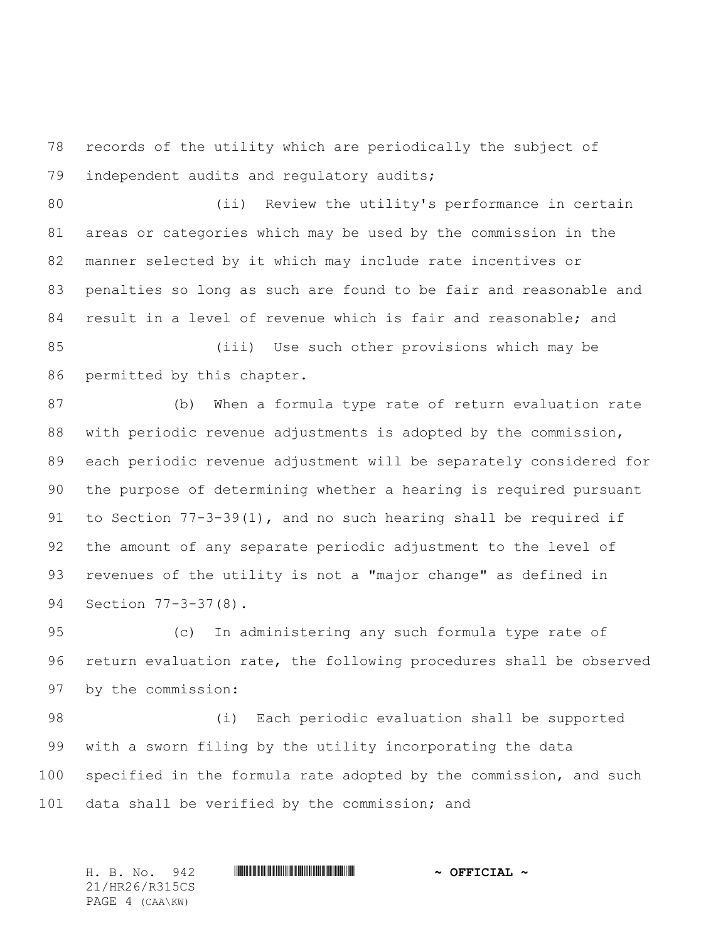records of the utility which are periodically the subject of independent audits and regulatory audits;

 (ii) Review the utility's performance in certain areas or categories which may be used by the commission in the manner selected by it which may include rate incentives or penalties so long as such are found to be fair and reasonable and result in a level of revenue which is fair and reasonable; and

 (iii) Use such other provisions which may be permitted by this chapter.

 (b) When a formula type rate of return evaluation rate with periodic revenue adjustments is adopted by the commission, each periodic revenue adjustment will be separately considered for the purpose of determining whether a hearing is required pursuant to Section 77-3-39(1), and no such hearing shall be required if the amount of any separate periodic adjustment to the level of revenues of the utility is not a "major change" as defined in Section 77-3-37(8).

 (c) In administering any such formula type rate of return evaluation rate, the following procedures shall be observed by the commission:

 (i) Each periodic evaluation shall be supported with a sworn filing by the utility incorporating the data specified in the formula rate adopted by the commission, and such data shall be verified by the commission; and

H. B. No. 942 \*HR26/R315CS\* **~ OFFICIAL ~** 21/HR26/R315CS PAGE 4 (CAA\KW)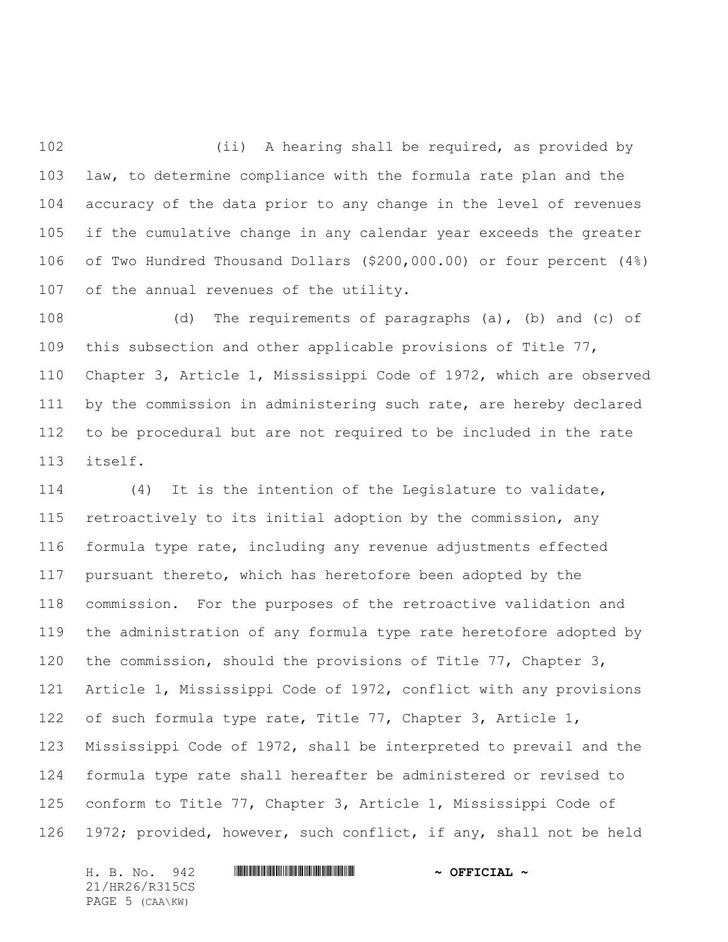102 (ii) A hearing shall be required, as provided by law, to determine compliance with the formula rate plan and the accuracy of the data prior to any change in the level of revenues if the cumulative change in any calendar year exceeds the greater of Two Hundred Thousand Dollars (\$200,000.00) or four percent (4%) of the annual revenues of the utility.

 (d) The requirements of paragraphs (a), (b) and (c) of this subsection and other applicable provisions of Title 77, Chapter 3, Article 1, Mississippi Code of 1972, which are observed by the commission in administering such rate, are hereby declared to be procedural but are not required to be included in the rate itself.

 (4) It is the intention of the Legislature to validate, retroactively to its initial adoption by the commission, any formula type rate, including any revenue adjustments effected pursuant thereto, which has heretofore been adopted by the commission. For the purposes of the retroactive validation and the administration of any formula type rate heretofore adopted by the commission, should the provisions of Title 77, Chapter 3, Article 1, Mississippi Code of 1972, conflict with any provisions of such formula type rate, Title 77, Chapter 3, Article 1, Mississippi Code of 1972, shall be interpreted to prevail and the formula type rate shall hereafter be administered or revised to conform to Title 77, Chapter 3, Article 1, Mississippi Code of 1972; provided, however, such conflict, if any, shall not be held

21/HR26/R315CS PAGE 5 (CAA\KW)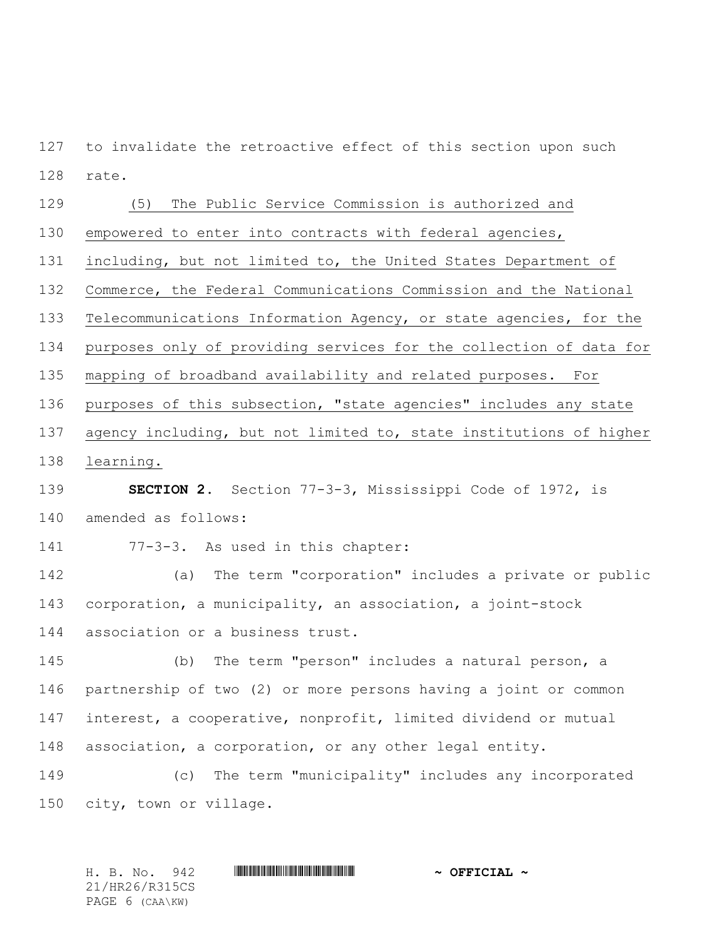to invalidate the retroactive effect of this section upon such rate.

## (5) The Public Service Commission is authorized and

empowered to enter into contracts with federal agencies,

including, but not limited to, the United States Department of

Commerce, the Federal Communications Commission and the National

Telecommunications Information Agency, or state agencies, for the

purposes only of providing services for the collection of data for

mapping of broadband availability and related purposes. For

purposes of this subsection, "state agencies" includes any state

agency including, but not limited to, state institutions of higher

learning.

# **SECTION 2.** Section 77-3-3, Mississippi Code of 1972, is amended as follows:

77-3-3. As used in this chapter:

 (a) The term "corporation" includes a private or public corporation, a municipality, an association, a joint-stock association or a business trust.

 (b) The term "person" includes a natural person, a partnership of two (2) or more persons having a joint or common interest, a cooperative, nonprofit, limited dividend or mutual association, a corporation, or any other legal entity.

 (c) The term "municipality" includes any incorporated city, town or village.

21/HR26/R315CS PAGE 6 (CAA\KW)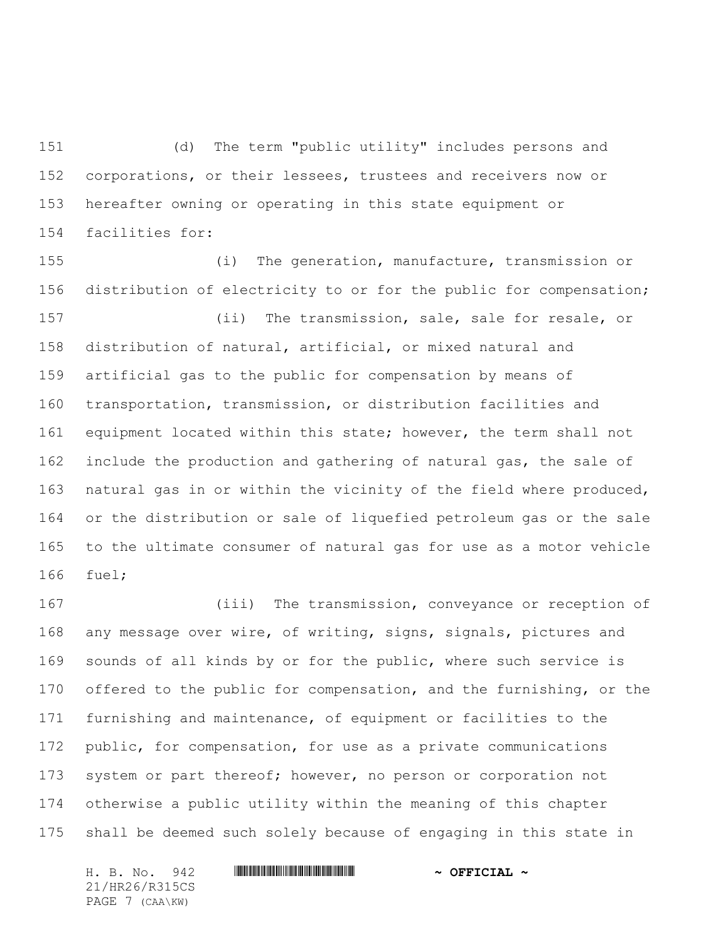(d) The term "public utility" includes persons and corporations, or their lessees, trustees and receivers now or hereafter owning or operating in this state equipment or facilities for:

 (i) The generation, manufacture, transmission or distribution of electricity to or for the public for compensation; (ii) The transmission, sale, sale for resale, or distribution of natural, artificial, or mixed natural and artificial gas to the public for compensation by means of transportation, transmission, or distribution facilities and equipment located within this state; however, the term shall not 162 include the production and gathering of natural gas, the sale of natural gas in or within the vicinity of the field where produced, or the distribution or sale of liquefied petroleum gas or the sale to the ultimate consumer of natural gas for use as a motor vehicle fuel;

 (iii) The transmission, conveyance or reception of any message over wire, of writing, signs, signals, pictures and sounds of all kinds by or for the public, where such service is offered to the public for compensation, and the furnishing, or the furnishing and maintenance, of equipment or facilities to the public, for compensation, for use as a private communications system or part thereof; however, no person or corporation not otherwise a public utility within the meaning of this chapter shall be deemed such solely because of engaging in this state in

21/HR26/R315CS PAGE 7 (CAA\KW)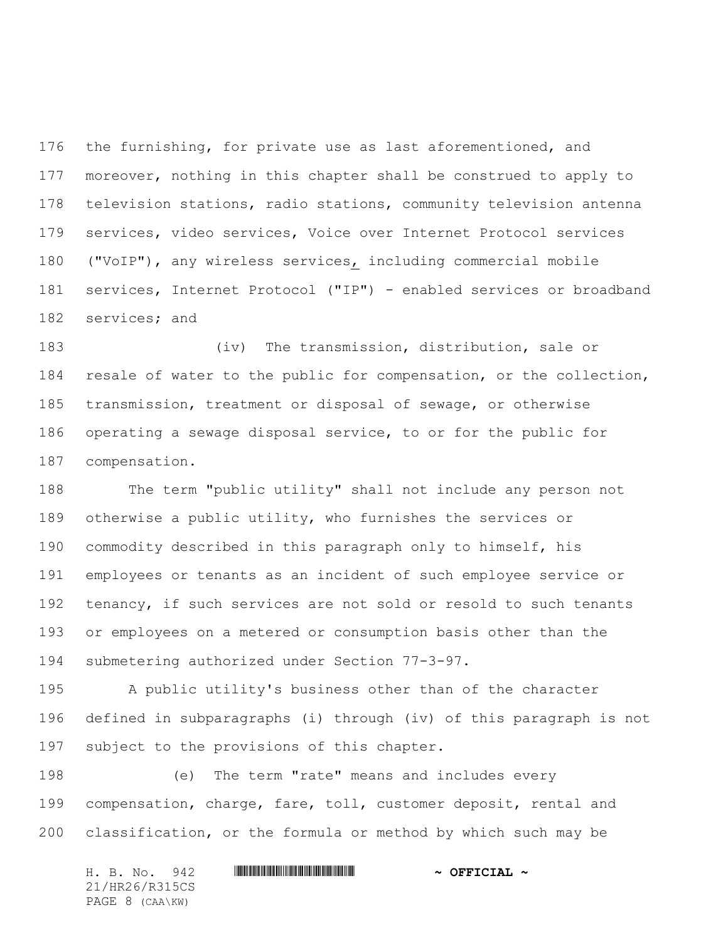the furnishing, for private use as last aforementioned, and 177 moreover, nothing in this chapter shall be construed to apply to television stations, radio stations, community television antenna services, video services, Voice over Internet Protocol services ("VoIP"), any wireless services, including commercial mobile services, Internet Protocol ("IP") - enabled services or broadband services; and

 (iv) The transmission, distribution, sale or resale of water to the public for compensation, or the collection, transmission, treatment or disposal of sewage, or otherwise operating a sewage disposal service, to or for the public for compensation.

 The term "public utility" shall not include any person not otherwise a public utility, who furnishes the services or commodity described in this paragraph only to himself, his employees or tenants as an incident of such employee service or 192 tenancy, if such services are not sold or resold to such tenants or employees on a metered or consumption basis other than the submetering authorized under Section 77-3-97.

 A public utility's business other than of the character defined in subparagraphs (i) through (iv) of this paragraph is not subject to the provisions of this chapter.

 (e) The term "rate" means and includes every compensation, charge, fare, toll, customer deposit, rental and classification, or the formula or method by which such may be

H. B. No. 942 \*HR26/R315CS\* **~ OFFICIAL ~** 21/HR26/R315CS PAGE 8 (CAA\KW)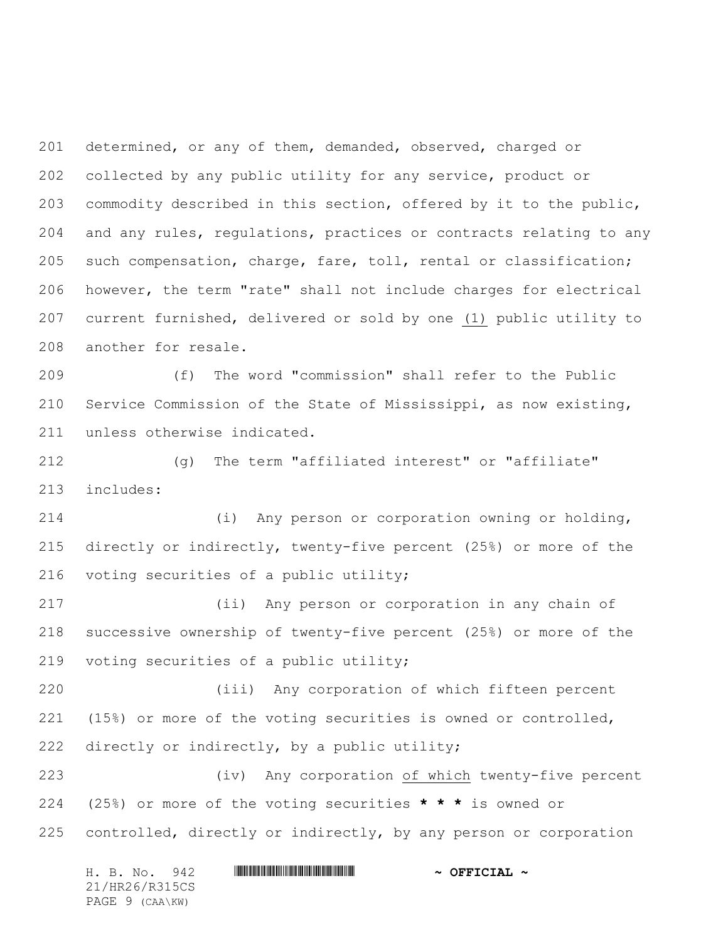determined, or any of them, demanded, observed, charged or collected by any public utility for any service, product or commodity described in this section, offered by it to the public, and any rules, regulations, practices or contracts relating to any such compensation, charge, fare, toll, rental or classification; however, the term "rate" shall not include charges for electrical current furnished, delivered or sold by one (1) public utility to another for resale.

 (f) The word "commission" shall refer to the Public Service Commission of the State of Mississippi, as now existing, unless otherwise indicated.

 (g) The term "affiliated interest" or "affiliate" includes:

 (i) Any person or corporation owning or holding, directly or indirectly, twenty-five percent (25%) or more of the voting securities of a public utility;

 (ii) Any person or corporation in any chain of successive ownership of twenty-five percent (25%) or more of the voting securities of a public utility;

 (iii) Any corporation of which fifteen percent (15%) or more of the voting securities is owned or controlled, directly or indirectly, by a public utility;

 (iv) Any corporation of which twenty-five percent (25%) or more of the voting securities **\* \* \*** is owned or controlled, directly or indirectly, by any person or corporation

| H. B. No. 942   | $\sim$ OFFICIAL $\sim$ |
|-----------------|------------------------|
| 21/HR26/R315CS  |                        |
| PAGE 9 (CAA\KW) |                        |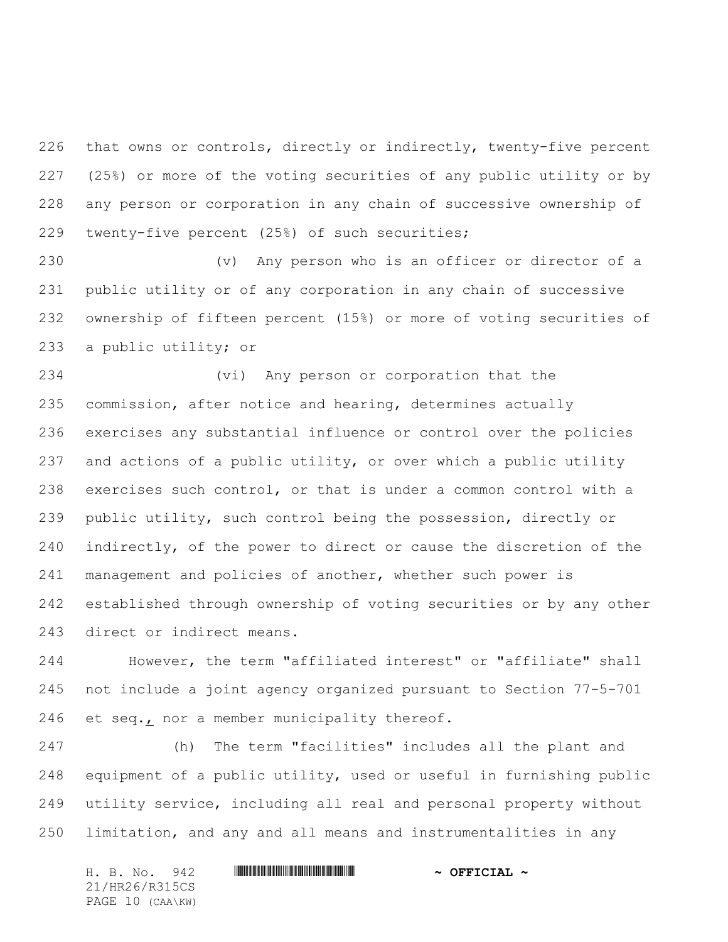that owns or controls, directly or indirectly, twenty-five percent (25%) or more of the voting securities of any public utility or by any person or corporation in any chain of successive ownership of twenty-five percent (25%) of such securities;

 (v) Any person who is an officer or director of a public utility or of any corporation in any chain of successive ownership of fifteen percent (15%) or more of voting securities of a public utility; or

 (vi) Any person or corporation that the commission, after notice and hearing, determines actually exercises any substantial influence or control over the policies and actions of a public utility, or over which a public utility exercises such control, or that is under a common control with a public utility, such control being the possession, directly or indirectly, of the power to direct or cause the discretion of the management and policies of another, whether such power is established through ownership of voting securities or by any other direct or indirect means.

 However, the term "affiliated interest" or "affiliate" shall not include a joint agency organized pursuant to Section 77-5-701 et seq., nor a member municipality thereof.

 (h) The term "facilities" includes all the plant and equipment of a public utility, used or useful in furnishing public utility service, including all real and personal property without limitation, and any and all means and instrumentalities in any

H. B. No. 942 **HRANG RANG RANG RANG PRESIDE ~ OFFICIAL ~** 21/HR26/R315CS PAGE 10 (CAA\KW)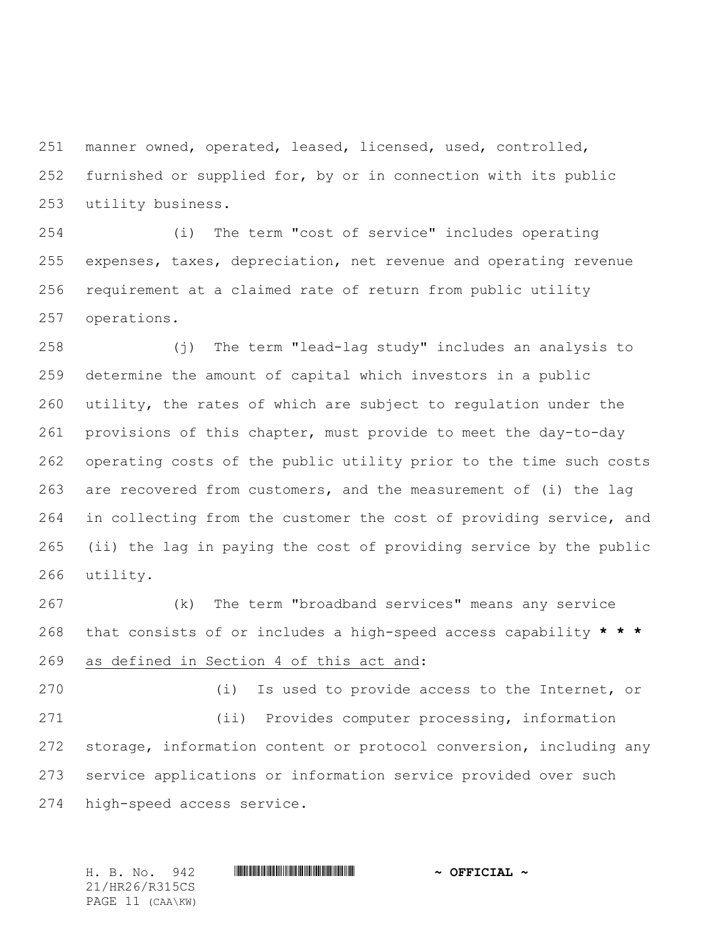manner owned, operated, leased, licensed, used, controlled, furnished or supplied for, by or in connection with its public utility business.

 (i) The term "cost of service" includes operating expenses, taxes, depreciation, net revenue and operating revenue requirement at a claimed rate of return from public utility operations.

 (j) The term "lead-lag study" includes an analysis to determine the amount of capital which investors in a public utility, the rates of which are subject to regulation under the provisions of this chapter, must provide to meet the day-to-day operating costs of the public utility prior to the time such costs are recovered from customers, and the measurement of (i) the lag in collecting from the customer the cost of providing service, and (ii) the lag in paying the cost of providing service by the public utility.

 (k) The term "broadband services" means any service that consists of or includes a high-speed access capability **\* \* \*** as defined in Section 4 of this act and:

 (i) Is used to provide access to the Internet, or (ii) Provides computer processing, information storage, information content or protocol conversion, including any service applications or information service provided over such high-speed access service.

H. B. No. 942 **. ADDED ASSEMBLE A & OFFICIAL ~** 

21/HR26/R315CS PAGE 11 (CAA\KW)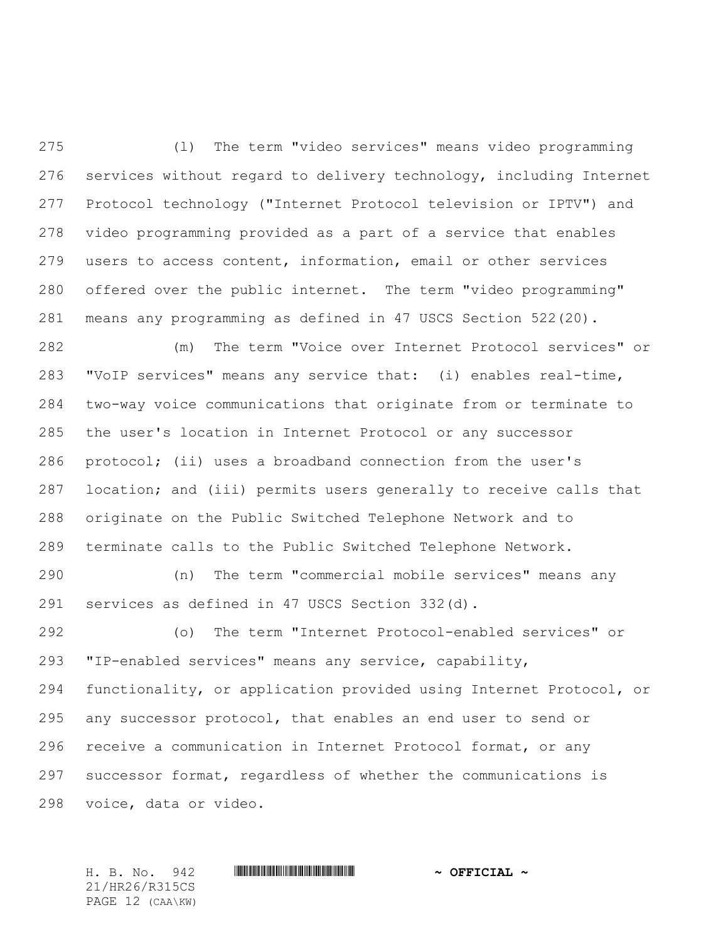(l) The term "video services" means video programming services without regard to delivery technology, including Internet Protocol technology ("Internet Protocol television or IPTV") and video programming provided as a part of a service that enables users to access content, information, email or other services offered over the public internet. The term "video programming" means any programming as defined in 47 USCS Section 522(20).

 (m) The term "Voice over Internet Protocol services" or "VoIP services" means any service that: (i) enables real-time, two-way voice communications that originate from or terminate to the user's location in Internet Protocol or any successor protocol; (ii) uses a broadband connection from the user's location; and (iii) permits users generally to receive calls that originate on the Public Switched Telephone Network and to terminate calls to the Public Switched Telephone Network.

 (n) The term "commercial mobile services" means any services as defined in 47 USCS Section 332(d).

 (o) The term "Internet Protocol-enabled services" or "IP-enabled services" means any service, capability, functionality, or application provided using Internet Protocol, or any successor protocol, that enables an end user to send or receive a communication in Internet Protocol format, or any successor format, regardless of whether the communications is voice, data or video.

21/HR26/R315CS PAGE 12 (CAA\KW)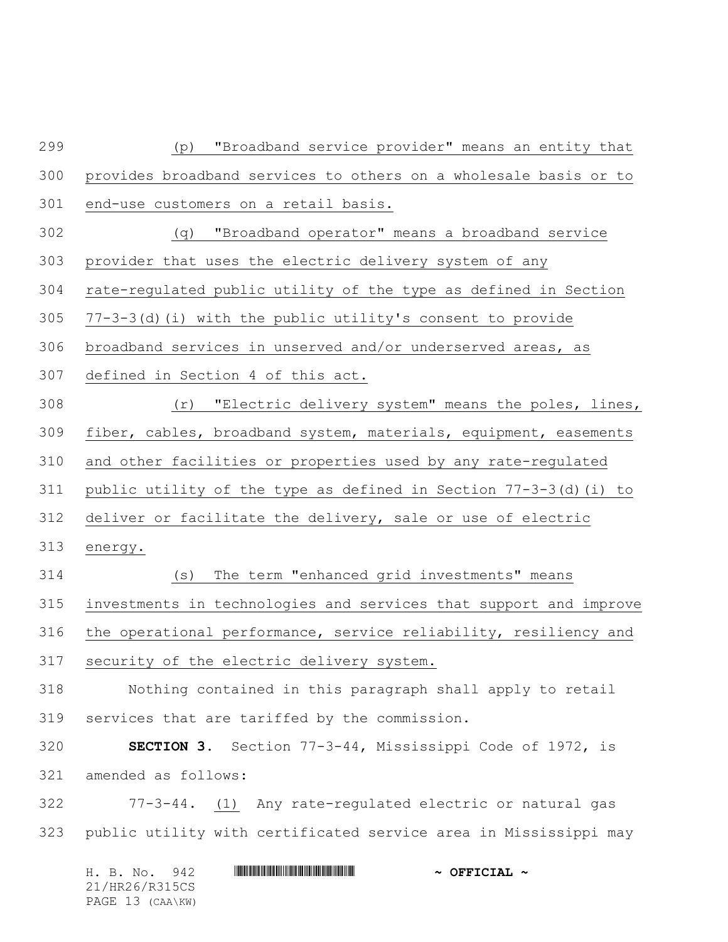| 299 | "Broadband service provider" means an entity that<br>(p)             |
|-----|----------------------------------------------------------------------|
| 300 | provides broadband services to others on a wholesale basis or to     |
| 301 | end-use customers on a retail basis.                                 |
| 302 | "Broadband operator" means a broadband service<br>(q)                |
| 303 | provider that uses the electric delivery system of any               |
| 304 | rate-regulated public utility of the type as defined in Section      |
| 305 | $77-3-3$ (d) (i) with the public utility's consent to provide        |
| 306 | broadband services in unserved and/or underserved areas, as          |
| 307 | defined in Section 4 of this act.                                    |
| 308 | "Electric delivery system" means the poles, lines,<br>(r)            |
| 309 | fiber, cables, broadband system, materials, equipment, easements     |
| 310 | and other facilities or properties used by any rate-regulated        |
| 311 | public utility of the type as defined in Section $77-3-3$ (d) (i) to |
| 312 | deliver or facilitate the delivery, sale or use of electric          |
| 313 | energy.                                                              |
| 314 | The term "enhanced grid investments" means<br>(s)                    |
| 315 | investments in technologies and services that support and improve    |
| 316 | the operational performance, service reliability, resiliency and     |
| 317 | security of the electric delivery system.                            |
| 318 | Nothing contained in this paragraph shall apply to retail            |
| 319 | services that are tariffed by the commission.                        |
| 320 | SECTION 3. Section 77-3-44, Mississippi Code of 1972, is             |
| 321 | amended as follows:                                                  |
| 322 | 77-3-44. (1) Any rate-regulated electric or natural gas              |
| 323 | public utility with certificated service area in Mississippi may     |
|     |                                                                      |

|  | H. B. No. 942    |  | $\sim$ OFFICIAL $\sim$ |
|--|------------------|--|------------------------|
|  | 21/HR26/R315CS   |  |                        |
|  | PAGE 13 (CAA\KW) |  |                        |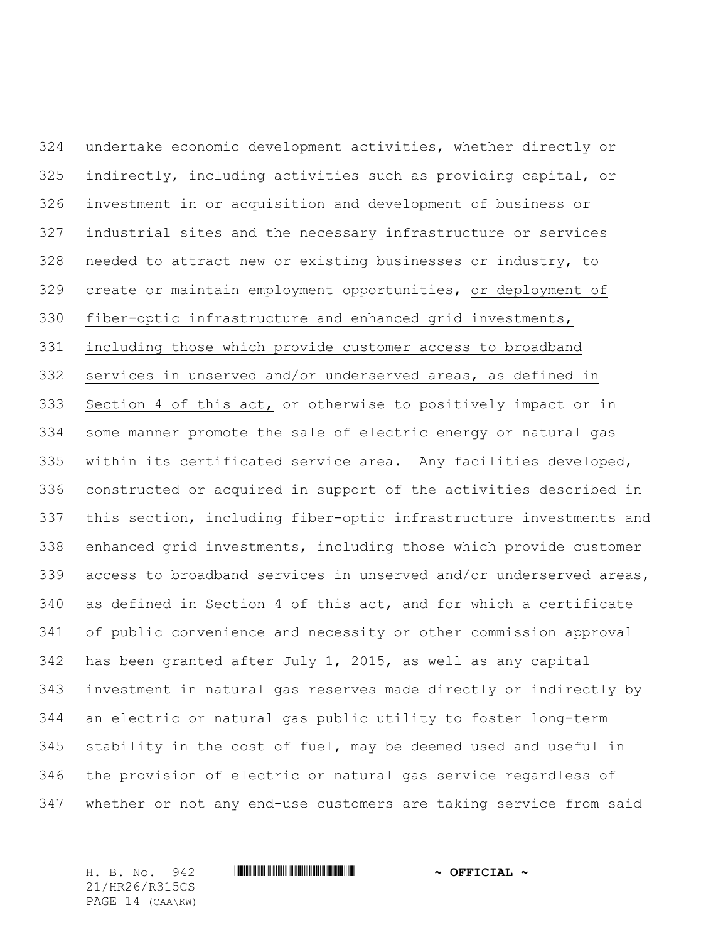undertake economic development activities, whether directly or indirectly, including activities such as providing capital, or investment in or acquisition and development of business or industrial sites and the necessary infrastructure or services needed to attract new or existing businesses or industry, to create or maintain employment opportunities, or deployment of fiber-optic infrastructure and enhanced grid investments, including those which provide customer access to broadband services in unserved and/or underserved areas, as defined in Section 4 of this act, or otherwise to positively impact or in some manner promote the sale of electric energy or natural gas within its certificated service area. Any facilities developed, constructed or acquired in support of the activities described in this section, including fiber-optic infrastructure investments and enhanced grid investments, including those which provide customer access to broadband services in unserved and/or underserved areas, as defined in Section 4 of this act, and for which a certificate of public convenience and necessity or other commission approval has been granted after July 1, 2015, as well as any capital investment in natural gas reserves made directly or indirectly by an electric or natural gas public utility to foster long-term stability in the cost of fuel, may be deemed used and useful in the provision of electric or natural gas service regardless of whether or not any end-use customers are taking service from said

21/HR26/R315CS PAGE 14 (CAA\KW)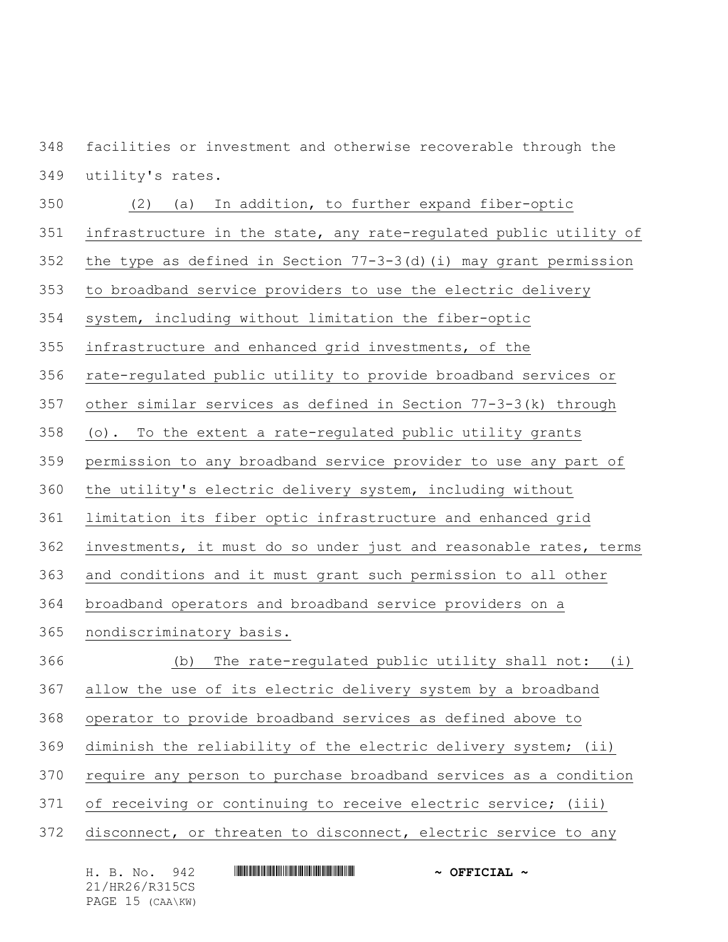facilities or investment and otherwise recoverable through the utility's rates.

 (2) (a) In addition, to further expand fiber-optic infrastructure in the state, any rate-regulated public utility of the type as defined in Section 77-3-3(d)(i) may grant permission to broadband service providers to use the electric delivery system, including without limitation the fiber-optic infrastructure and enhanced grid investments, of the rate-regulated public utility to provide broadband services or other similar services as defined in Section 77-3-3(k) through (o). To the extent a rate-regulated public utility grants permission to any broadband service provider to use any part of the utility's electric delivery system, including without limitation its fiber optic infrastructure and enhanced grid investments, it must do so under just and reasonable rates, terms and conditions and it must grant such permission to all other broadband operators and broadband service providers on a nondiscriminatory basis. (b) The rate-regulated public utility shall not: (i) allow the use of its electric delivery system by a broadband operator to provide broadband services as defined above to diminish the reliability of the electric delivery system; (ii) require any person to purchase broadband services as a condition of receiving or continuing to receive electric service; (iii) disconnect, or threaten to disconnect, electric service to any

H. B. No. 942 **HRANG RANG RANG RANG PRESIDE ~ OFFICIAL ~** 21/HR26/R315CS PAGE 15 (CAA\KW)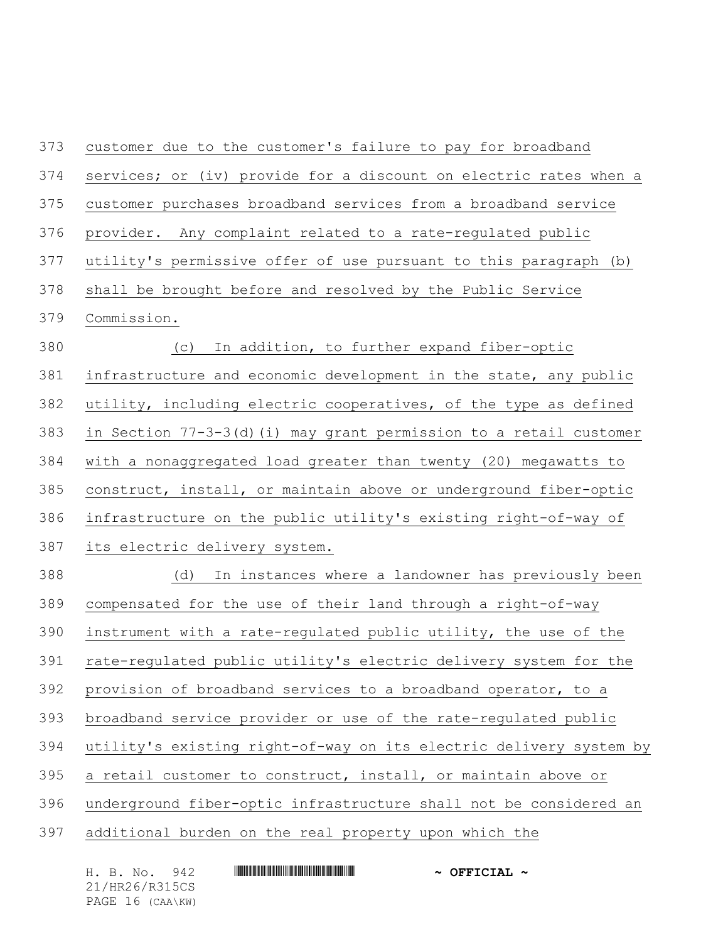customer due to the customer's failure to pay for broadband services; or (iv) provide for a discount on electric rates when a customer purchases broadband services from a broadband service provider. Any complaint related to a rate-regulated public utility's permissive offer of use pursuant to this paragraph (b) shall be brought before and resolved by the Public Service Commission. (c) In addition, to further expand fiber-optic infrastructure and economic development in the state, any public utility, including electric cooperatives, of the type as defined in Section 77-3-3(d)(i) may grant permission to a retail customer with a nonaggregated load greater than twenty (20) megawatts to construct, install, or maintain above or underground fiber-optic infrastructure on the public utility's existing right-of-way of its electric delivery system. (d) In instances where a landowner has previously been compensated for the use of their land through a right-of-way instrument with a rate-regulated public utility, the use of the rate-regulated public utility's electric delivery system for the provision of broadband services to a broadband operator, to a broadband service provider or use of the rate-regulated public utility's existing right-of-way on its electric delivery system by a retail customer to construct, install, or maintain above or underground fiber-optic infrastructure shall not be considered an additional burden on the real property upon which the

| H. B. No.<br>942 | $\sim$ OFFICIAL $\sim$ |
|------------------|------------------------|
| 21/HR26/R315CS   |                        |
| PAGE 16 (CAA\KW) |                        |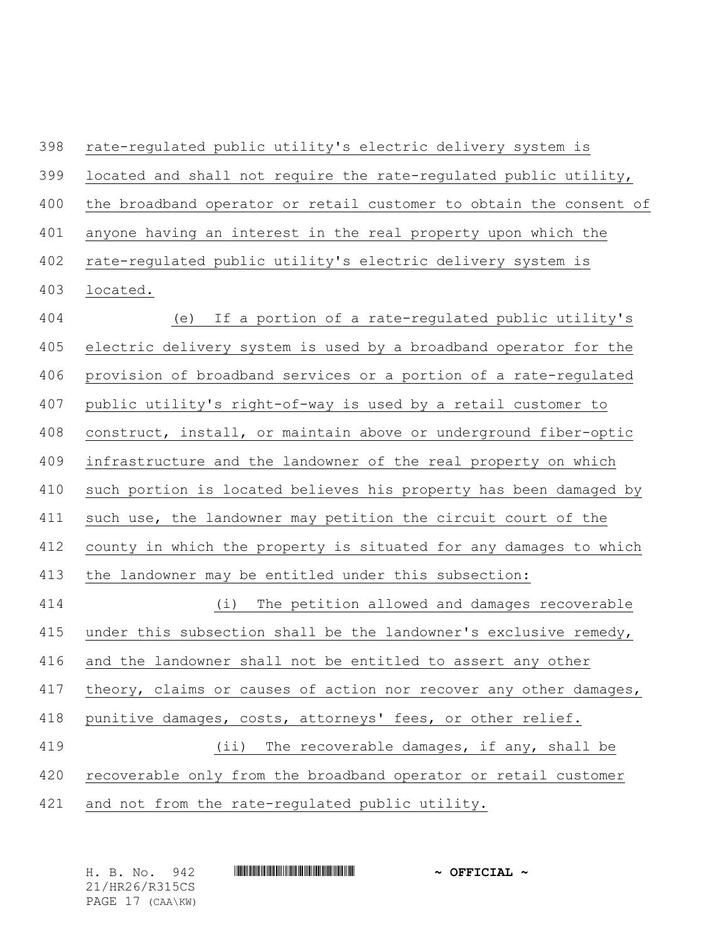rate-regulated public utility's electric delivery system is located and shall not require the rate-regulated public utility, the broadband operator or retail customer to obtain the consent of anyone having an interest in the real property upon which the rate-regulated public utility's electric delivery system is located. (e) If a portion of a rate-regulated public utility's electric delivery system is used by a broadband operator for the provision of broadband services or a portion of a rate-regulated public utility's right-of-way is used by a retail customer to construct, install, or maintain above or underground fiber-optic infrastructure and the landowner of the real property on which such portion is located believes his property has been damaged by such use, the landowner may petition the circuit court of the county in which the property is situated for any damages to which the landowner may be entitled under this subsection: (i) The petition allowed and damages recoverable 415 under this subsection shall be the landowner's exclusive remedy, and the landowner shall not be entitled to assert any other 417 theory, claims or causes of action nor recover any other damages, punitive damages, costs, attorneys' fees, or other relief. (ii) The recoverable damages, if any, shall be recoverable only from the broadband operator or retail customer and not from the rate-regulated public utility.

| H. B. No.<br>942 | $\sim$ OFFICIAL $\sim$ |
|------------------|------------------------|
| 21/HR26/R315CS   |                        |
| PAGE 17 (CAA\KW) |                        |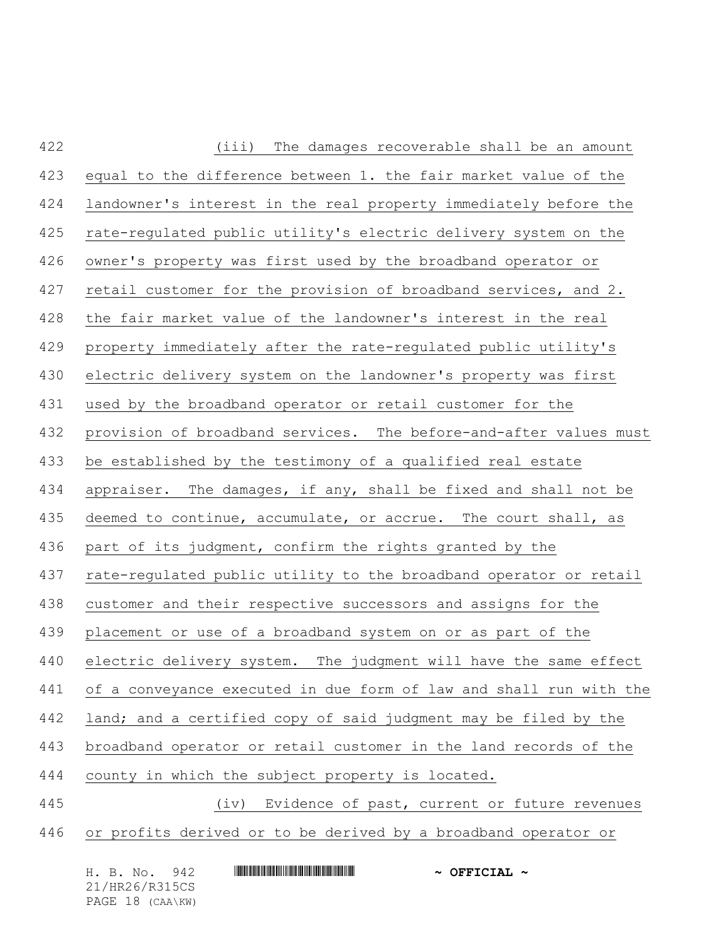| 422 | The damages recoverable shall be an amount<br>(iii)                |
|-----|--------------------------------------------------------------------|
| 423 | equal to the difference between 1. the fair market value of the    |
| 424 | landowner's interest in the real property immediately before the   |
| 425 | rate-regulated public utility's electric delivery system on the    |
| 426 | owner's property was first used by the broadband operator or       |
| 427 | retail customer for the provision of broadband services, and 2.    |
| 428 | the fair market value of the landowner's interest in the real      |
| 429 | property immediately after the rate-regulated public utility's     |
| 430 | electric delivery system on the landowner's property was first     |
| 431 | used by the broadband operator or retail customer for the          |
| 432 | provision of broadband services. The before-and-after values must  |
| 433 | be established by the testimony of a qualified real estate         |
| 434 | appraiser. The damages, if any, shall be fixed and shall not be    |
| 435 | deemed to continue, accumulate, or accrue. The court shall, as     |
| 436 | part of its judgment, confirm the rights granted by the            |
| 437 | rate-regulated public utility to the broadband operator or retail  |
| 438 | customer and their respective successors and assigns for the       |
| 439 | placement or use of a broadband system on or as part of the        |
| 440 | electric delivery system. The judgment will have the same effect   |
| 441 | of a conveyance executed in due form of law and shall run with the |
| 442 | land; and a certified copy of said judgment may be filed by the    |
| 443 | broadband operator or retail customer in the land records of the   |
| 444 | county in which the subject property is located.                   |
| 445 | Evidence of past, current or future revenues<br>(iv)               |
| 446 | or profits derived or to be derived by a broadband operator or     |
|     |                                                                    |

| H. B. No. 942    | $\sim$ OFFICIAL $\sim$ |
|------------------|------------------------|
| 21/HR26/R315CS   |                        |
| PAGE 18 (CAA\KW) |                        |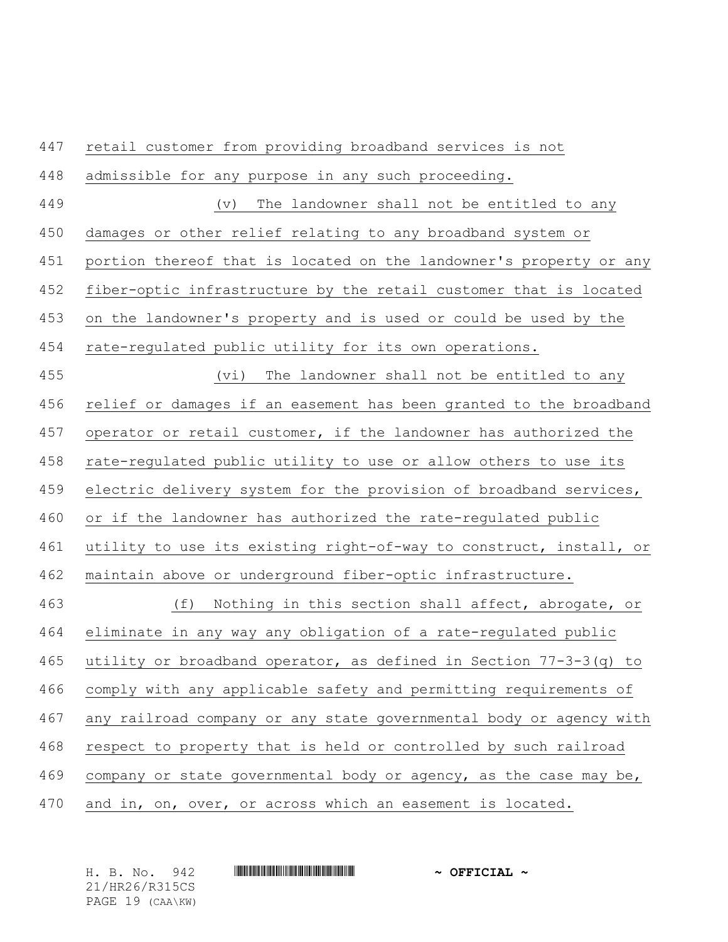retail customer from providing broadband services is not admissible for any purpose in any such proceeding. (v) The landowner shall not be entitled to any damages or other relief relating to any broadband system or portion thereof that is located on the landowner's property or any fiber-optic infrastructure by the retail customer that is located on the landowner's property and is used or could be used by the rate-regulated public utility for its own operations. (vi) The landowner shall not be entitled to any relief or damages if an easement has been granted to the broadband operator or retail customer, if the landowner has authorized the rate-regulated public utility to use or allow others to use its 459 electric delivery system for the provision of broadband services, or if the landowner has authorized the rate-regulated public utility to use its existing right-of-way to construct, install, or maintain above or underground fiber-optic infrastructure. (f) Nothing in this section shall affect, abrogate, or eliminate in any way any obligation of a rate-regulated public utility or broadband operator, as defined in Section 77-3-3(q) to comply with any applicable safety and permitting requirements of any railroad company or any state governmental body or agency with respect to property that is held or controlled by such railroad company or state governmental body or agency, as the case may be, and in, on, over, or across which an easement is located.

H. B. No. 942 **HRANG RANGE RANGE AND A OFFICIAL ~** 21/HR26/R315CS PAGE 19 (CAA\KW)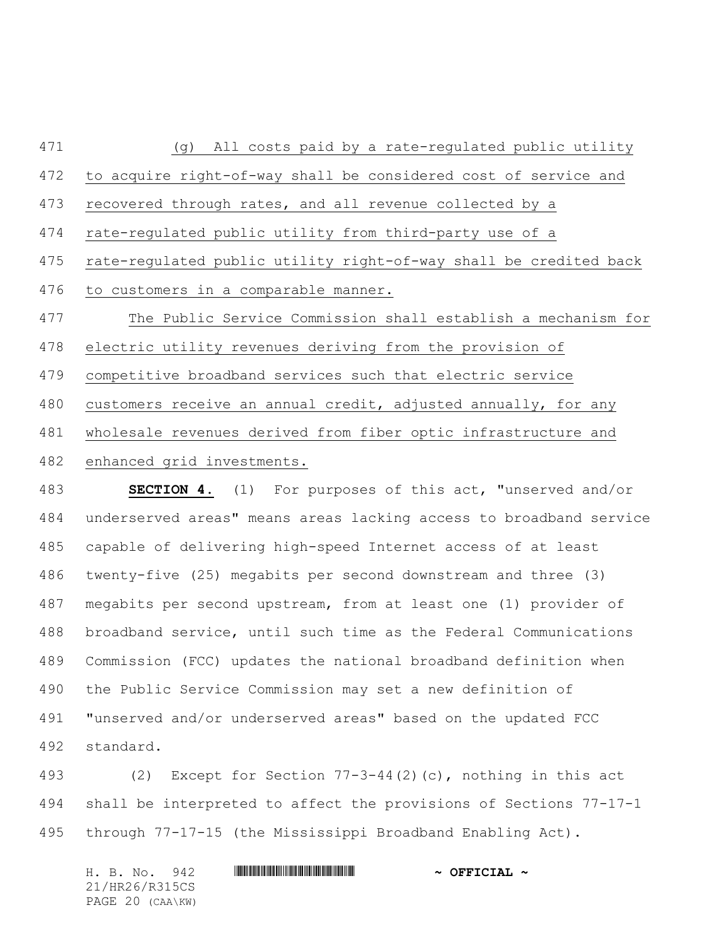(g) All costs paid by a rate-regulated public utility to acquire right-of-way shall be considered cost of service and recovered through rates, and all revenue collected by a rate-regulated public utility from third-party use of a rate-regulated public utility right-of-way shall be credited back to customers in a comparable manner. The Public Service Commission shall establish a mechanism for electric utility revenues deriving from the provision of competitive broadband services such that electric service customers receive an annual credit, adjusted annually, for any wholesale revenues derived from fiber optic infrastructure and enhanced grid investments.

 **SECTION 4.** (1) For purposes of this act, "unserved and/or underserved areas" means areas lacking access to broadband service capable of delivering high-speed Internet access of at least twenty-five (25) megabits per second downstream and three (3) megabits per second upstream, from at least one (1) provider of broadband service, until such time as the Federal Communications Commission (FCC) updates the national broadband definition when the Public Service Commission may set a new definition of "unserved and/or underserved areas" based on the updated FCC standard.

 (2) Except for Section 77-3-44(2)(c), nothing in this act shall be interpreted to affect the provisions of Sections 77-17-1 through 77-17-15 (the Mississippi Broadband Enabling Act).

| H. B. No. 942    |  |  | $\sim$ OFFICIAL $\sim$ |
|------------------|--|--|------------------------|
| 21/HR26/R315CS   |  |  |                        |
| PAGE 20 (CAA\KW) |  |  |                        |